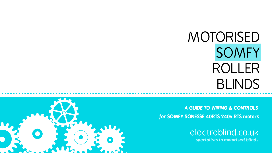[electroblind.co.uk](http://electroblind.co.uk) *specialists in motorised blinds*



*for* **SOMFY SONESSE 40RTS 240v RTS motors** *A GUIDE TO WIRING & CONTROLS* 



# MOTORISED SOMFY ROLLER BLINDS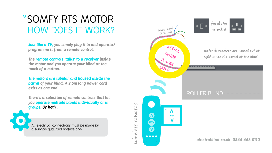### "SOMFY RTS MOTOR  $HOW DOES IT WORD$   $MORK$ ?

*Just like a TV, you simply plug it in and operate/ programme it from a remote control.* 

*The remote controls 'talks' to a receiver inside the motor and you operate your blind at the touch of a button.* 

*The motors are tubular and housed inside the barrel of your blind. A 2.5m long power cord exits at one end.* 

*There's a selection of remote controls that let you operate multiple blinds individually or in groups. Or both…*





*All electrical connections must be made by a suitably qualified professional.*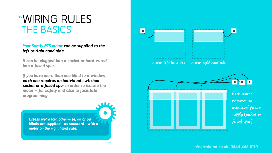*Your Somfy RTS motor can be supplied to the left or right hand side.*

*It can be plugged into a socket or hard-wired into a fused spur.* 

### "WIRING RULES THE BASICS

*If you have more than one blind to a window, each one requires an individual switched socket or a fused spur in order to isolate the motor – for safety and also to facilitate programming.*

*[electroblind.co.uk](http://electroblind.co.uk) 0845 466 0110*



*Unless we're told otherwise, all of our blinds are supplied - as standard - with a motor on the right hand side.*

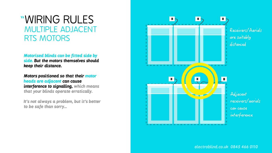*Motorised blinds can be fitted side by side. But the motors themselves should keep their distance.* 

*Motors positioned so that their motor heads are adjacent can cause interference to signalling, which means that your blinds operate erratically.* 

### "WIRING RULES MULTIPLE ADJACENT RTS MOTORS

*It's not always a problem, but it's better to be safe than sorry…* 

*[electroblind.co.uk](http://electroblind.co.uk) 0845 466 0110*



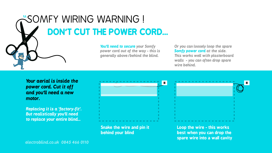*Your aerial is inside the power cord. Cut it off and you'll need a new motor.* 

*Replacing it is a 'factory-fit'. But realistically you'll need to replace your entire blind…* 

*You'll need to secure your Somfy power cord out of the way - this is generally above/behind the blind.* 

*Or you can loosely loop the spare Somfy power cord at the side. This works well with plasterboard walls - you can often drop spare wire behind.*



**Snake the wire and pin it behind your blind**





**Loop the wire - this works best when you can drop the spare wire into a wall cavity**

*[electroblind.co.uk](http://electroblind.co.uk) 0845 466 0110*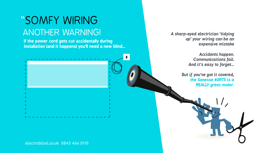**If the power cord gets cut accidentally during installation (and it happens) you'll need a new blind…**

*[electroblind.co.uk](http://electroblind.co.uk) 0845 466 0110*

### "SOMFY WIRING ANOTHER WARNING! *A sharp-eyed electrician 'tidying*

*up' your wiring can be an expensive mistake* 

> *Accidents happen. Communications fail. And it's easy to forget…*

*But if you've got it covered, the Sonesse 40RTS is a REALLY great motor.* 

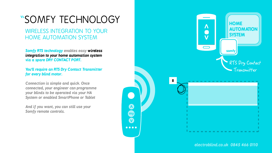### "SOMFY TECHNOLOGY

WIRELESS INTEGRATION TO YOUR HOME AUTOMATION SYSTEM

*Somfy RTS technology enables easy wireless integration to your home automation system via a spare DRY CONTACT PORT.* 

*You'll require an RTS Dry Contact Transmitter for every blind motor.* 

*Connection is simple and quick. Once connected, your engineer can programme your blinds to be operated via your HA System or enabled SmartPhone or Tablet* 

*And if you want, you can still use your Somfy remote controls.* 



*[electroblind.co.uk](http://electroblind.co.uk) 0845 466 0110*

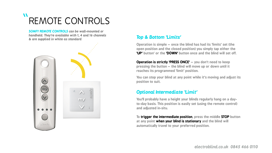### $\bullet$ REMOTE CONTROLS

**Operation is simple – once the blind has had its 'limits' set (the open position and the closed position) you simply tap either the 'UP' button' or the 'DOWN' button once and the blind will set off.**

**Operation is strictly 'PRESS ONCE' – you don't need to keep pressing the button – the blind will move up or down until it reaches its programmed 'limit' position.**

**You can stop your blind at any point while it's moving and adjust its position to suit.**

#### *Top & Bottom 'Limits'*

**You'll probably have a height your blinds regularly hang on a dayto-day basis. This position is easily set (using the remote control) and adjusted in-situ.**

**To trigger the intermediate position, press the middle STOP button at any point when your blind is stationary and the blind will automatically travel to your preferred position.**

#### *Optional Intermediate 'Limit'*

*SOMFY REMOTE CONTROLS can be wall-mounted or handheld. They're available with 1, 4 and 16 channels & are supplied in white as standard*



![](_page_7_Picture_11.jpeg)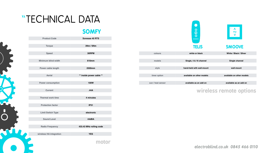*[electroblind.co.uk](http://electroblind.co.uk) 0845 466 0110*

![](_page_8_Picture_7.jpeg)

| <b>Product Code</b>        | <b>Sonesse 40 RTS</b>    |
|----------------------------|--------------------------|
|                            |                          |
| <b>Torque</b>              | 3Nm / 6Nm                |
|                            |                          |
| <b>Speed</b>               | 30RPM                    |
|                            |                          |
| <b>Minimum blind width</b> | 610mm                    |
|                            |                          |
| <b>Power cable length</b>  | <b>2500mm</b>            |
|                            |                          |
| <b>Aerial</b>              | ** inside power cable ** |
|                            | <b>100W</b>              |
| <b>Power consumption</b>   |                          |
| <b>Current</b>             | .44A                     |
|                            |                          |
| <b>Thermal work time</b>   | 4 minutes                |
|                            |                          |
| <b>Protection factor</b>   | <b>IP31</b>              |
|                            |                          |
| <b>Limit Switch Type</b>   | electronic               |
|                            |                          |
| <b>Sound Level</b>         | 44dBA                    |
|                            |                          |
| <b>Radio Frequency</b>     | 433.43 MHz rolling code  |
|                            |                          |
| wireless HA integration    | <b>YES</b>               |
|                            |                          |
|                            | motor                    |
|                            |                          |
|                            |                          |

#### **SOMFY**

### "TECHNICAL DATA

|                   | 889<br>$\begin{array}{ccccc}\bullet&\bullet&\bullet&\bullet\end{array}$<br><b>TELIS</b> | $\bullet$<br>$\Lambda$<br>my<br>$\overline{\mathbf{V}}$<br><b>SMOOVE</b> |
|-------------------|-----------------------------------------------------------------------------------------|--------------------------------------------------------------------------|
| colours           | white or black                                                                          | White / Black / Silver                                                   |
| models            | Single, 4 & 16 channel                                                                  | <b>Single channel</b>                                                    |
| style             | hand-held with wall-mount                                                               | wall-mount                                                               |
|                   |                                                                                         |                                                                          |
| timer option      | available on other models                                                               | available on other models                                                |
|                   |                                                                                         |                                                                          |
| sun / heat sensor | available as an add on                                                                  | available as an add on                                                   |
|                   |                                                                                         |                                                                          |

**wireless remote options**

![](_page_8_Picture_3.jpeg)